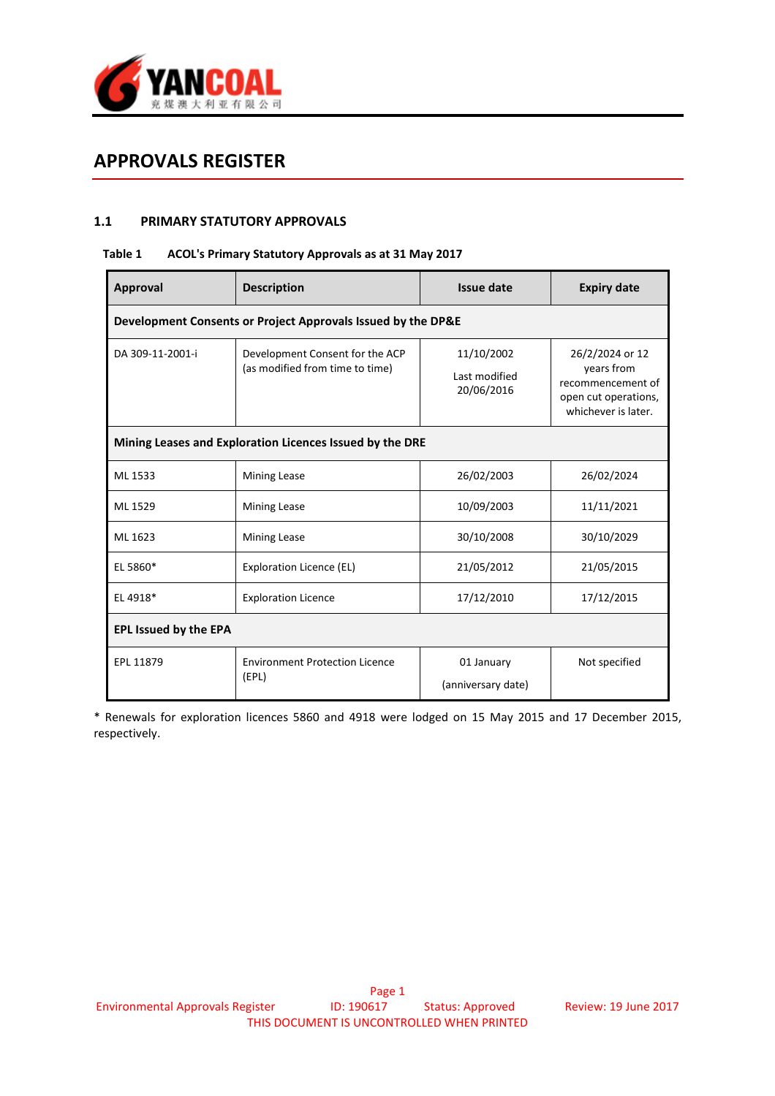

# APPROVALS REGISTER

## 1.1 PRIMARY STATUTORY APPROVALS

#### Table 1 ACOL's Primary Statutory Approvals as at 31 May 2017

| Approval                                                     | <b>Description</b>                                                 | Issue date                                | <b>Expiry date</b>                                                                                |  |  |
|--------------------------------------------------------------|--------------------------------------------------------------------|-------------------------------------------|---------------------------------------------------------------------------------------------------|--|--|
| Development Consents or Project Approvals Issued by the DP&E |                                                                    |                                           |                                                                                                   |  |  |
| DA 309-11-2001-i                                             | Development Consent for the ACP<br>(as modified from time to time) | 11/10/2002<br>Last modified<br>20/06/2016 | 26/2/2024 or 12<br>years from<br>recommencement of<br>open cut operations,<br>whichever is later. |  |  |
| Mining Leases and Exploration Licences Issued by the DRE     |                                                                    |                                           |                                                                                                   |  |  |
| ML 1533                                                      | <b>Mining Lease</b>                                                | 26/02/2003                                | 26/02/2024                                                                                        |  |  |
| ML 1529                                                      | <b>Mining Lease</b>                                                | 10/09/2003                                | 11/11/2021                                                                                        |  |  |
| ML 1623                                                      | <b>Mining Lease</b>                                                | 30/10/2008                                | 30/10/2029                                                                                        |  |  |
| EL 5860*                                                     | Exploration Licence (EL)                                           | 21/05/2012                                | 21/05/2015                                                                                        |  |  |
| EL 4918*                                                     | <b>Exploration Licence</b>                                         | 17/12/2010                                | 17/12/2015                                                                                        |  |  |
| <b>EPL Issued by the EPA</b>                                 |                                                                    |                                           |                                                                                                   |  |  |
| EPL 11879                                                    | <b>Environment Protection Licence</b><br>(EPL)                     | 01 January<br>(anniversary date)          | Not specified                                                                                     |  |  |

\* Renewals for exploration licences 5860 and 4918 were lodged on 15 May 2015 and 17 December 2015, respectively.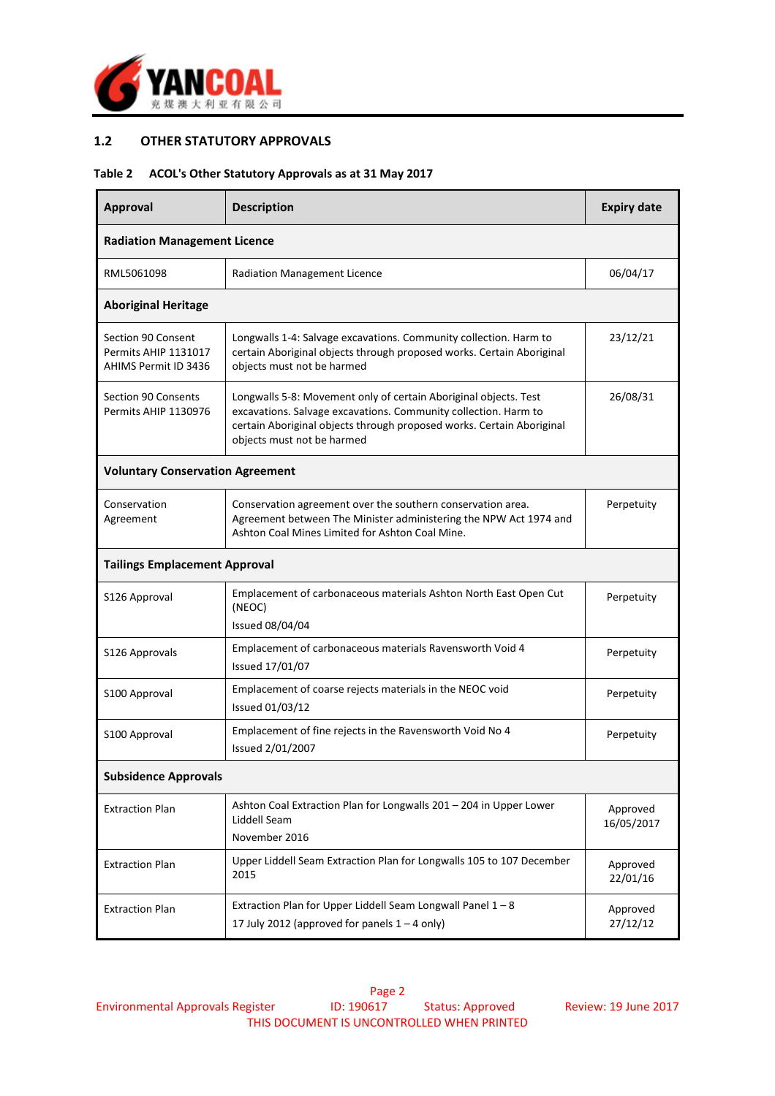

## 1.2 OTHER STATUTORY APPROVALS

## Table 2 ACOL's Other Statutory Approvals as at 31 May 2017

| Approval                                                           | <b>Description</b>                                                                                                                                                                                                                         | <b>Expiry date</b> |  |
|--------------------------------------------------------------------|--------------------------------------------------------------------------------------------------------------------------------------------------------------------------------------------------------------------------------------------|--------------------|--|
| <b>Radiation Management Licence</b>                                |                                                                                                                                                                                                                                            |                    |  |
| RML5061098                                                         | <b>Radiation Management Licence</b>                                                                                                                                                                                                        | 06/04/17           |  |
| <b>Aboriginal Heritage</b>                                         |                                                                                                                                                                                                                                            |                    |  |
| Section 90 Consent<br>Permits AHIP 1131017<br>AHIMS Permit ID 3436 | Longwalls 1-4: Salvage excavations. Community collection. Harm to<br>certain Aboriginal objects through proposed works. Certain Aboriginal<br>objects must not be harmed                                                                   | 23/12/21           |  |
| <b>Section 90 Consents</b><br>Permits AHIP 1130976                 | Longwalls 5-8: Movement only of certain Aboriginal objects. Test<br>excavations. Salvage excavations. Community collection. Harm to<br>certain Aboriginal objects through proposed works. Certain Aboriginal<br>objects must not be harmed | 26/08/31           |  |
| <b>Voluntary Conservation Agreement</b>                            |                                                                                                                                                                                                                                            |                    |  |
| Conservation<br>Agreement                                          | Conservation agreement over the southern conservation area.<br>Agreement between The Minister administering the NPW Act 1974 and<br>Ashton Coal Mines Limited for Ashton Coal Mine.                                                        | Perpetuity         |  |
| <b>Tailings Emplacement Approval</b>                               |                                                                                                                                                                                                                                            |                    |  |
| S126 Approval                                                      | Emplacement of carbonaceous materials Ashton North East Open Cut<br>(NEOC)<br>Issued 08/04/04                                                                                                                                              | Perpetuity         |  |
| S126 Approvals                                                     | Emplacement of carbonaceous materials Ravensworth Void 4<br>Perpetuity<br>Issued 17/01/07                                                                                                                                                  |                    |  |
| S100 Approval                                                      | Emplacement of coarse rejects materials in the NEOC void<br>Perpetuity<br><b>Issued 01/03/12</b>                                                                                                                                           |                    |  |
| S100 Approval                                                      | Emplacement of fine rejects in the Ravensworth Void No 4<br>Perpetuity<br>Issued 2/01/2007                                                                                                                                                 |                    |  |
| <b>Subsidence Approvals</b>                                        |                                                                                                                                                                                                                                            |                    |  |
| <b>Extraction Plan</b>                                             | Ashton Coal Extraction Plan for Longwalls 201 - 204 in Upper Lower<br>Liddell Seam<br>16/05/2017<br>November 2016                                                                                                                          |                    |  |
| <b>Extraction Plan</b>                                             | Upper Liddell Seam Extraction Plan for Longwalls 105 to 107 December<br>Approved<br>2015<br>22/01/16                                                                                                                                       |                    |  |
| <b>Extraction Plan</b>                                             | Extraction Plan for Upper Liddell Seam Longwall Panel 1-8<br>Approved<br>17 July 2012 (approved for panels $1 - 4$ only)<br>27/12/12                                                                                                       |                    |  |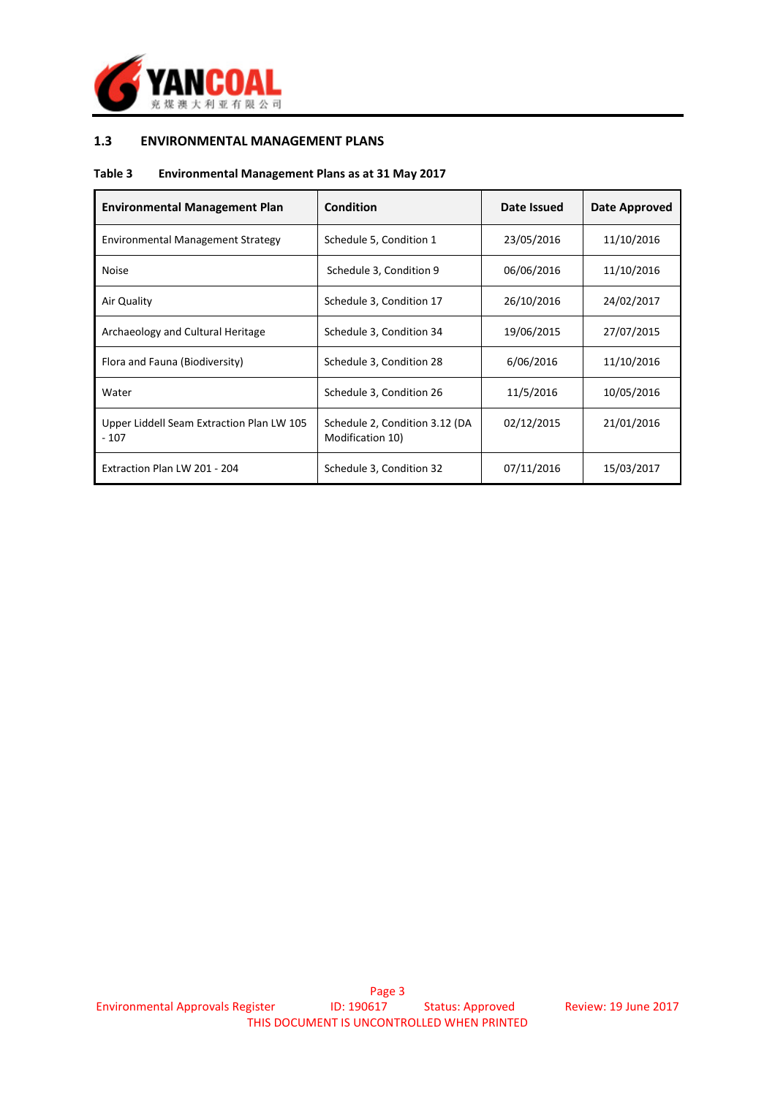

## 1.3 ENVIRONMENTAL MANAGEMENT PLANS

#### Table 3 Environmental Management Plans as at 31 May 2017

| <b>Environmental Management Plan</b>                | <b>Condition</b>                                   | Date Issued | Date Approved |
|-----------------------------------------------------|----------------------------------------------------|-------------|---------------|
| Environmental Management Strategy                   | Schedule 5, Condition 1                            | 23/05/2016  | 11/10/2016    |
| <b>Noise</b>                                        | Schedule 3, Condition 9                            | 06/06/2016  | 11/10/2016    |
| Air Quality                                         | Schedule 3, Condition 17                           | 26/10/2016  | 24/02/2017    |
| Archaeology and Cultural Heritage                   | Schedule 3, Condition 34                           | 19/06/2015  | 27/07/2015    |
| Flora and Fauna (Biodiversity)                      | Schedule 3, Condition 28                           | 6/06/2016   | 11/10/2016    |
| Water                                               | Schedule 3, Condition 26                           | 11/5/2016   | 10/05/2016    |
| Upper Liddell Seam Extraction Plan LW 105<br>$-107$ | Schedule 2, Condition 3.12 (DA<br>Modification 10) | 02/12/2015  | 21/01/2016    |
| Extraction Plan LW 201 - 204                        | Schedule 3, Condition 32                           | 07/11/2016  | 15/03/2017    |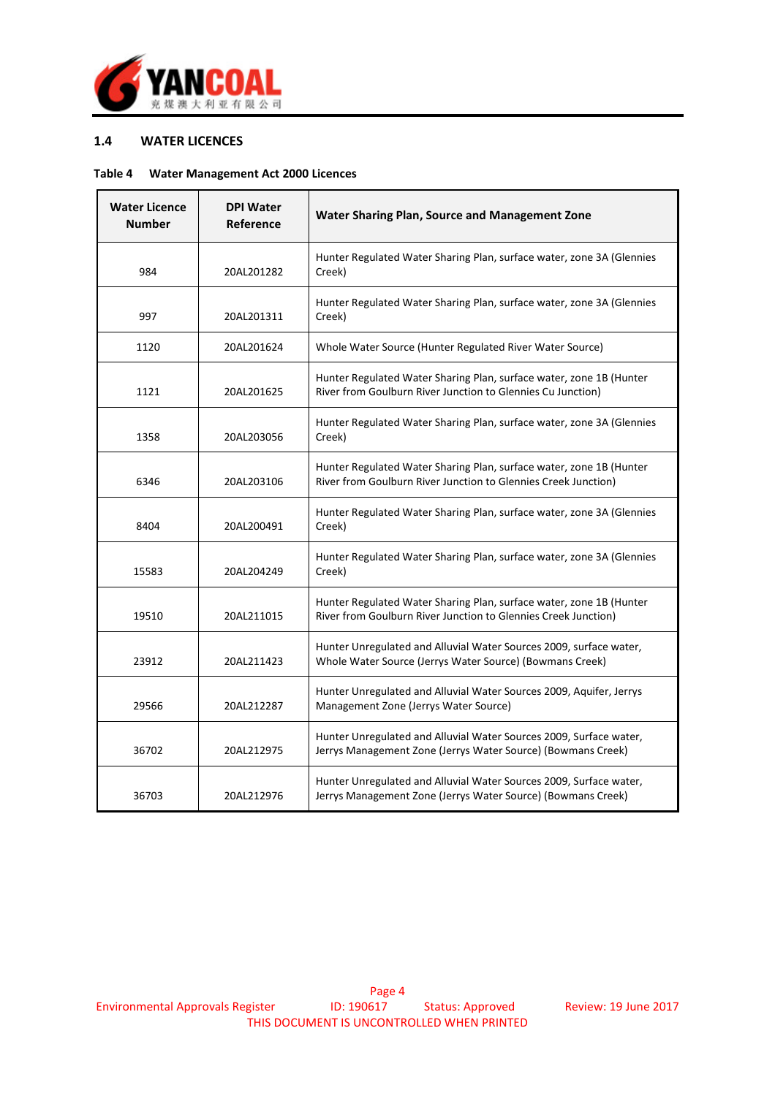

## 1.4 WATER LICENCES

#### Table 4 Water Management Act 2000 Licences

| <b>Water Licence</b><br><b>Number</b> | <b>DPI Water</b><br>Reference | Water Sharing Plan, Source and Management Zone                                                                                        |
|---------------------------------------|-------------------------------|---------------------------------------------------------------------------------------------------------------------------------------|
| 984                                   | 20AL201282                    | Hunter Regulated Water Sharing Plan, surface water, zone 3A (Glennies<br>Creek)                                                       |
| 997                                   | 20AL201311                    | Hunter Regulated Water Sharing Plan, surface water, zone 3A (Glennies<br>Creek)                                                       |
| 1120                                  | 20AL201624                    | Whole Water Source (Hunter Regulated River Water Source)                                                                              |
| 1121                                  | 20AL201625                    | Hunter Regulated Water Sharing Plan, surface water, zone 1B (Hunter<br>River from Goulburn River Junction to Glennies Cu Junction)    |
| 1358                                  | 20AL203056                    | Hunter Regulated Water Sharing Plan, surface water, zone 3A (Glennies<br>Creek)                                                       |
| 6346                                  | 20AL203106                    | Hunter Regulated Water Sharing Plan, surface water, zone 1B (Hunter<br>River from Goulburn River Junction to Glennies Creek Junction) |
| 8404                                  | 20AL200491                    | Hunter Regulated Water Sharing Plan, surface water, zone 3A (Glennies<br>Creek)                                                       |
| 15583                                 | 20AL204249                    | Hunter Regulated Water Sharing Plan, surface water, zone 3A (Glennies<br>Creek)                                                       |
| 19510                                 | 20AL211015                    | Hunter Regulated Water Sharing Plan, surface water, zone 1B (Hunter<br>River from Goulburn River Junction to Glennies Creek Junction) |
| 23912                                 | 20AL211423                    | Hunter Unregulated and Alluvial Water Sources 2009, surface water,<br>Whole Water Source (Jerrys Water Source) (Bowmans Creek)        |
| 29566                                 | 20AL212287                    | Hunter Unregulated and Alluvial Water Sources 2009, Aquifer, Jerrys<br>Management Zone (Jerrys Water Source)                          |
| 36702                                 | 20AL212975                    | Hunter Unregulated and Alluvial Water Sources 2009, Surface water,<br>Jerrys Management Zone (Jerrys Water Source) (Bowmans Creek)    |
| 36703                                 | 20AL212976                    | Hunter Unregulated and Alluvial Water Sources 2009, Surface water,<br>Jerrys Management Zone (Jerrys Water Source) (Bowmans Creek)    |